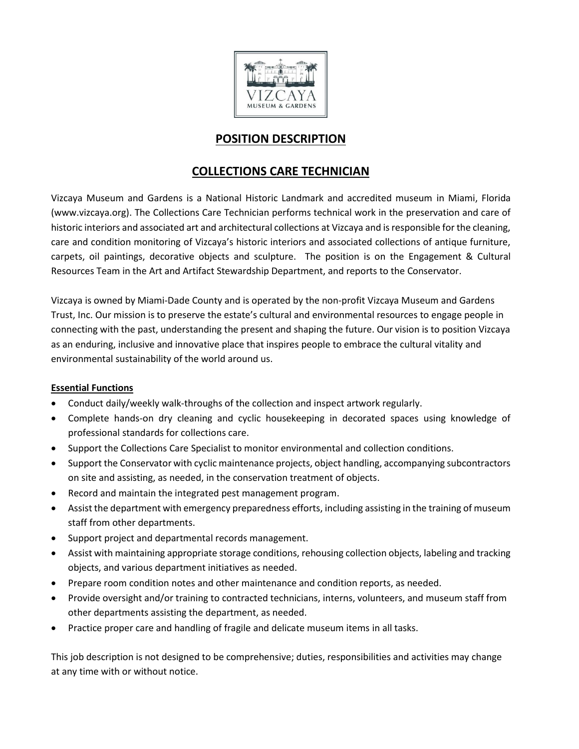

# **POSITION DESCRIPTION**

## **COLLECTIONS CARE TECHNICIAN**

Vizcaya Museum and Gardens is a National Historic Landmark and accredited museum in Miami, Florida (www.vizcaya.org). The Collections Care Technician performs technical work in the preservation and care of historic interiors and associated art and architectural collections at Vizcaya and is responsible for the cleaning, care and condition monitoring of Vizcaya's historic interiors and associated collections of antique furniture, carpets, oil paintings, decorative objects and sculpture. The position is on the Engagement & Cultural Resources Team in the Art and Artifact Stewardship Department, and reports to the Conservator.

Vizcaya is owned by Miami-Dade County and is operated by the non-profit Vizcaya Museum and Gardens Trust, Inc. Our mission is to preserve the estate's cultural and environmental resources to engage people in connecting with the past, understanding the present and shaping the future. Our vision is to position Vizcaya as an enduring, inclusive and innovative place that inspires people to embrace the cultural vitality and environmental sustainability of the world around us.

## **Essential Functions**

- Conduct daily/weekly walk-throughs of the collection and inspect artwork regularly.
- Complete hands-on dry cleaning and cyclic housekeeping in decorated spaces using knowledge of professional standards for collections care.
- Support the Collections Care Specialist to monitor environmental and collection conditions.
- Support the Conservator with cyclic maintenance projects, object handling, accompanying subcontractors on site and assisting, as needed, in the conservation treatment of objects.
- Record and maintain the integrated pest management program.
- Assist the department with emergency preparedness efforts, including assisting in the training of museum staff from other departments.
- Support project and departmental records management.
- Assist with maintaining appropriate storage conditions, rehousing collection objects, labeling and tracking objects, and various department initiatives as needed.
- Prepare room condition notes and other maintenance and condition reports, as needed.
- Provide oversight and/or training to contracted technicians, interns, volunteers, and museum staff from other departments assisting the department, as needed.
- Practice proper care and handling of fragile and delicate museum items in all tasks.

This job description is not designed to be comprehensive; duties, responsibilities and activities may change at any time with or without notice.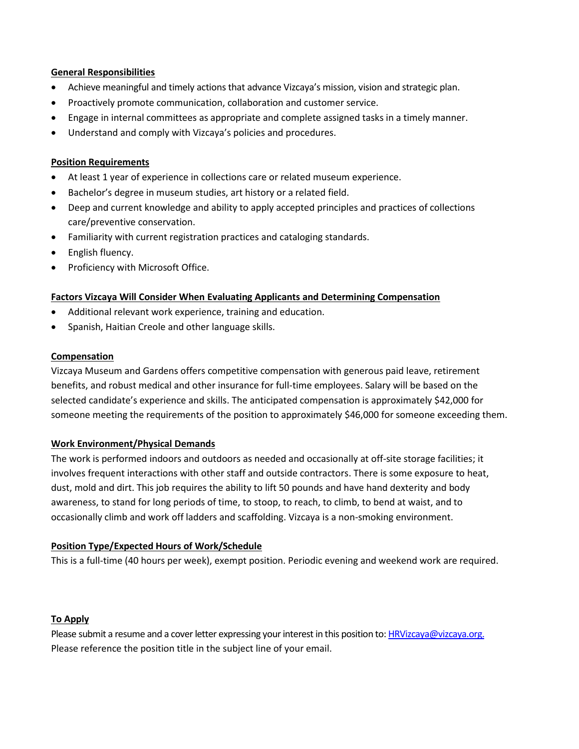### **General Responsibilities**

- Achieve meaningful and timely actions that advance Vizcaya's mission, vision and strategic plan.
- Proactively promote communication, collaboration and customer service.
- Engage in internal committees as appropriate and complete assigned tasks in a timely manner.
- Understand and comply with Vizcaya's policies and procedures.

#### **Position Requirements**

- At least 1 year of experience in collections care or related museum experience.
- Bachelor's degree in museum studies, art history or a related field.
- Deep and current knowledge and ability to apply accepted principles and practices of collections care/preventive conservation.
- Familiarity with current registration practices and cataloging standards.
- English fluency.
- Proficiency with Microsoft Office.

#### **Factors Vizcaya Will Consider When Evaluating Applicants and Determining Compensation**

- Additional relevant work experience, training and education.
- Spanish, Haitian Creole and other language skills.

#### **Compensation**

Vizcaya Museum and Gardens offers competitive compensation with generous paid leave, retirement benefits, and robust medical and other insurance for full-time employees. Salary will be based on the selected candidate's experience and skills. The anticipated compensation is approximately \$42,000 for someone meeting the requirements of the position to approximately \$46,000 for someone exceeding them.

#### **Work Environment/Physical Demands**

The work is performed indoors and outdoors as needed and occasionally at off-site storage facilities; it involves frequent interactions with other staff and outside contractors. There is some exposure to heat, dust, mold and dirt. This job requires the ability to lift 50 pounds and have hand dexterity and body awareness, to stand for long periods of time, to stoop, to reach, to climb, to bend at waist, and to occasionally climb and work off ladders and scaffolding. Vizcaya is a non-smoking environment.

#### **Position Type/Expected Hours of Work/Schedule**

This is a full-time (40 hours per week), exempt position. Periodic evening and weekend work are required.

#### **To Apply**

Please submit a resume and a cover letter expressing your interest in this position to[: HRVizcaya@vizcaya.org.](mailto:HRVizcaya@vizcaya.org) Please reference the position title in the subject line of your email.